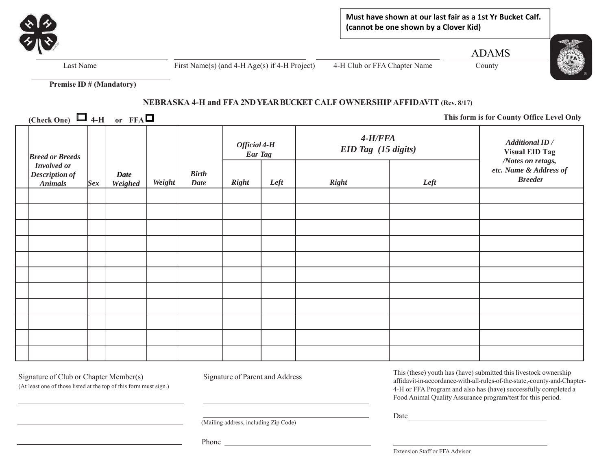

**Must have shown at our last fair as a 1st Yr Bucket Calf. (cannot be one shown by a Clover Kid)** 

ADAMS



Last Name First Name(s) (and 4-H Age(s) if 4-H Project) 4-H Club or FFA Chapter Name County

**Premise ID # (Mandatory)** 

# **NEBRASKA 4-H and FFA 2ND YEAR BUCKET CALF OWNERSHIP AFFIDAVIT (Rev. 8/17)**

**(Check One)**  $\Box$  4-H or FFA $\Box$ 

 **This form is for County Office Level Only**

| <b>Breed or Breeds</b><br>Involved or<br><b>Description of</b><br><b>Animals</b> | <b>Sex</b> | <b>Date</b><br>Weighed | Weight | <b>Birth</b><br><b>Date</b> | Official 4-H<br><b>Ear Tag</b> |      | $4-H/FFA$<br>EID Tag (15 digits) |      | <b>Additional ID</b> /<br><b>Visual EID Tag</b>               |
|----------------------------------------------------------------------------------|------------|------------------------|--------|-----------------------------|--------------------------------|------|----------------------------------|------|---------------------------------------------------------------|
|                                                                                  |            |                        |        |                             | <b>Right</b>                   | Left | <b>Right</b>                     | Left | /Notes on retags,<br>etc. Name & Address of<br><b>Breeder</b> |
|                                                                                  |            |                        |        |                             |                                |      |                                  |      |                                                               |
|                                                                                  |            |                        |        |                             |                                |      |                                  |      |                                                               |
|                                                                                  |            |                        |        |                             |                                |      |                                  |      |                                                               |
|                                                                                  |            |                        |        |                             |                                |      |                                  |      |                                                               |
|                                                                                  |            |                        |        |                             |                                |      |                                  |      |                                                               |
|                                                                                  |            |                        |        |                             |                                |      |                                  |      |                                                               |
|                                                                                  |            |                        |        |                             |                                |      |                                  |      |                                                               |
|                                                                                  |            |                        |        |                             |                                |      |                                  |      |                                                               |
|                                                                                  |            |                        |        |                             |                                |      |                                  |      |                                                               |
|                                                                                  |            |                        |        |                             |                                |      |                                  |      |                                                               |
|                                                                                  |            |                        |        |                             |                                |      |                                  |      |                                                               |

Signature of Club or Chapter Member(s) Signature of Parent and Address

(At least one of those listed at the top of this form must sign.)

This (these) youth has (have) submitted this livestock ownership affidavit-in-accordance-with-all-rules-of-the-state,-county-and-Chapter-4-H or FFA Program and also has (have) successfully completed a Food Animal Quality Assurance program/test for this period.

Date

(Mailing address, including Zip Code)

Phone

Extension Staff or FFA Advisor